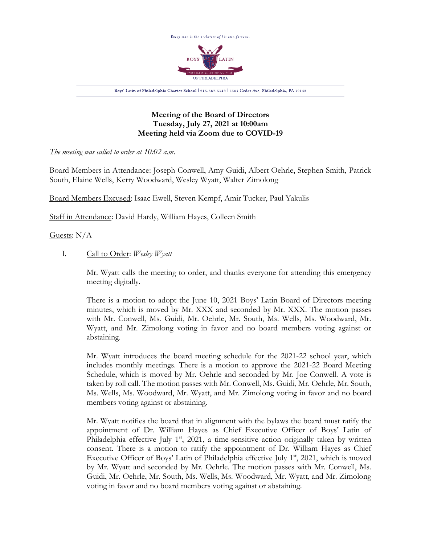

## **Meeting of the Board of Directors Tuesday, July 27, 2021 at 10:00am Meeting held via Zoom due to COVID-19**

*The meeting was called to order at 10:02 a.m.*

Board Members in Attendance: Joseph Conwell, Amy Guidi, Albert Oehrle, Stephen Smith, Patrick South, Elaine Wells, Kerry Woodward, Wesley Wyatt, Walter Zimolong

Board Members Excused: Isaac Ewell, Steven Kempf, Amir Tucker, Paul Yakulis

Staff in Attendance: David Hardy, William Hayes, Colleen Smith

Guests: N/A

## I. Call to Order: *Wesley Wyatt*

Mr. Wyatt calls the meeting to order, and thanks everyone for attending this emergency meeting digitally.

There is a motion to adopt the June 10, 2021 Boys' Latin Board of Directors meeting minutes, which is moved by Mr. XXX and seconded by Mr. XXX. The motion passes with Mr. Conwell, Ms. Guidi, Mr. Oehrle, Mr. South, Ms. Wells, Ms. Woodward, Mr. Wyatt, and Mr. Zimolong voting in favor and no board members voting against or abstaining.

Mr. Wyatt introduces the board meeting schedule for the 2021-22 school year, which includes monthly meetings. There is a motion to approve the 2021-22 Board Meeting Schedule, which is moved by Mr. Oehrle and seconded by Mr. Joe Conwell. A vote is taken by roll call. The motion passes with Mr. Conwell, Ms. Guidi, Mr. Oehrle, Mr. South, Ms. Wells, Ms. Woodward, Mr. Wyatt, and Mr. Zimolong voting in favor and no board members voting against or abstaining.

Mr. Wyatt notifies the board that in alignment with the bylaws the board must ratify the appointment of Dr. William Hayes as Chief Executive Officer of Boys' Latin of Philadelphia effective July  $1<sup>st</sup>$ , 2021, a time-sensitive action originally taken by written consent. There is a motion to ratify the appointment of Dr. William Hayes as Chief Executive Officer of Boys' Latin of Philadelphia effective July  $1<sup>st</sup>$ , 2021, which is moved by Mr. Wyatt and seconded by Mr. Oehrle. The motion passes with Mr. Conwell, Ms. Guidi, Mr. Oehrle, Mr. South, Ms. Wells, Ms. Woodward, Mr. Wyatt, and Mr. Zimolong voting in favor and no board members voting against or abstaining.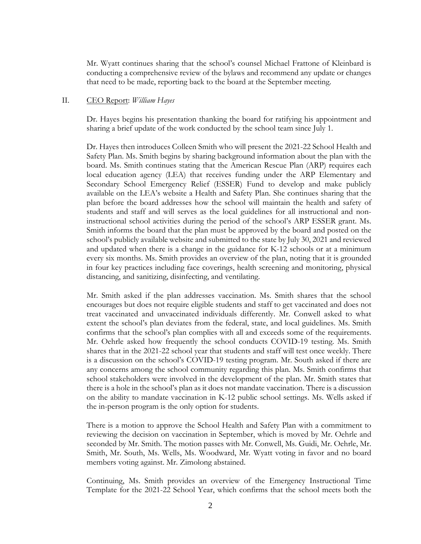Mr. Wyatt continues sharing that the school's counsel Michael Frattone of Kleinbard is conducting a comprehensive review of the bylaws and recommend any update or changes that need to be made, reporting back to the board at the September meeting.

## II. CEO Report: *William Hayes*

Dr. Hayes begins his presentation thanking the board for ratifying his appointment and sharing a brief update of the work conducted by the school team since July 1.

Dr. Hayes then introduces Colleen Smith who will present the 2021-22 School Health and Safety Plan. Ms. Smith begins by sharing background information about the plan with the board. Ms. Smith continues stating that the American Rescue Plan (ARP) requires each local education agency (LEA) that receives funding under the ARP Elementary and Secondary School Emergency Relief (ESSER) Fund to develop and make publicly available on the LEA's website a Health and Safety Plan. She continues sharing that the plan before the board addresses how the school will maintain the health and safety of students and staff and will serves as the local guidelines for all instructional and noninstructional school activities during the period of the school's ARP ESSER grant. Ms. Smith informs the board that the plan must be approved by the board and posted on the school's publicly available website and submitted to the state by July 30, 2021 and reviewed and updated when there is a change in the guidance for K-12 schools or at a minimum every six months. Ms. Smith provides an overview of the plan, noting that it is grounded in four key practices including face coverings, health screening and monitoring, physical distancing, and sanitizing, disinfecting, and ventilating.

Mr. Smith asked if the plan addresses vaccination. Ms. Smith shares that the school encourages but does not require eligible students and staff to get vaccinated and does not treat vaccinated and unvaccinated individuals differently. Mr. Conwell asked to what extent the school's plan deviates from the federal, state, and local guidelines. Ms. Smith confirms that the school's plan complies with all and exceeds some of the requirements. Mr. Oehrle asked how frequently the school conducts COVID-19 testing. Ms. Smith shares that in the 2021-22 school year that students and staff will test once weekly. There is a discussion on the school's COVID-19 testing program. Mr. South asked if there are any concerns among the school community regarding this plan. Ms. Smith confirms that school stakeholders were involved in the development of the plan. Mr. Smith states that there is a hole in the school's plan as it does not mandate vaccination. There is a discussion on the ability to mandate vaccination in K-12 public school settings. Ms. Wells asked if the in-person program is the only option for students.

There is a motion to approve the School Health and Safety Plan with a commitment to reviewing the decision on vaccination in September, which is moved by Mr. Oehrle and seconded by Mr. Smith. The motion passes with Mr. Conwell, Ms. Guidi, Mr. Oehrle, Mr. Smith, Mr. South, Ms. Wells, Ms. Woodward, Mr. Wyatt voting in favor and no board members voting against. Mr. Zimolong abstained.

Continuing, Ms. Smith provides an overview of the Emergency Instructional Time Template for the 2021-22 School Year, which confirms that the school meets both the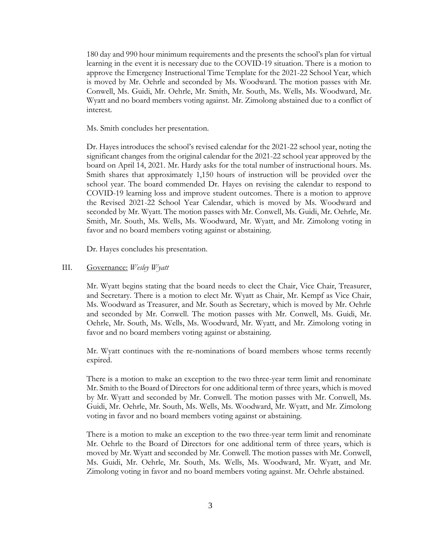180 day and 990 hour minimum requirements and the presents the school's plan for virtual learning in the event it is necessary due to the COVID-19 situation. There is a motion to approve the Emergency Instructional Time Template for the 2021-22 School Year, which is moved by Mr. Oehrle and seconded by Ms. Woodward. The motion passes with Mr. Conwell, Ms. Guidi, Mr. Oehrle, Mr. Smith, Mr. South, Ms. Wells, Ms. Woodward, Mr. Wyatt and no board members voting against. Mr. Zimolong abstained due to a conflict of interest.

Ms. Smith concludes her presentation.

Dr. Hayes introduces the school's revised calendar for the 2021-22 school year, noting the significant changes from the original calendar for the 2021-22 school year approved by the board on April 14, 2021. Mr. Hardy asks for the total number of instructional hours. Ms. Smith shares that approximately 1,150 hours of instruction will be provided over the school year. The board commended Dr. Hayes on revising the calendar to respond to COVID-19 learning loss and improve student outcomes. There is a motion to approve the Revised 2021-22 School Year Calendar, which is moved by Ms. Woodward and seconded by Mr. Wyatt. The motion passes with Mr. Conwell, Ms. Guidi, Mr. Oehrle, Mr. Smith, Mr. South, Ms. Wells, Ms. Woodward, Mr. Wyatt, and Mr. Zimolong voting in favor and no board members voting against or abstaining.

Dr. Hayes concludes his presentation.

## III. Governance: *Wesley Wyatt*

Mr. Wyatt begins stating that the board needs to elect the Chair, Vice Chair, Treasurer, and Secretary. There is a motion to elect Mr. Wyatt as Chair, Mr. Kempf as Vice Chair, Ms. Woodward as Treasurer, and Mr. South as Secretary, which is moved by Mr. Oehrle and seconded by Mr. Conwell. The motion passes with Mr. Conwell, Ms. Guidi, Mr. Oehrle, Mr. South, Ms. Wells, Ms. Woodward, Mr. Wyatt, and Mr. Zimolong voting in favor and no board members voting against or abstaining.

Mr. Wyatt continues with the re-nominations of board members whose terms recently expired.

There is a motion to make an exception to the two three-year term limit and renominate Mr. Smith to the Board of Directors for one additional term of three years, which is moved by Mr. Wyatt and seconded by Mr. Conwell. The motion passes with Mr. Conwell, Ms. Guidi, Mr. Oehrle, Mr. South, Ms. Wells, Ms. Woodward, Mr. Wyatt, and Mr. Zimolong voting in favor and no board members voting against or abstaining.

There is a motion to make an exception to the two three-year term limit and renominate Mr. Oehrle to the Board of Directors for one additional term of three years, which is moved by Mr. Wyatt and seconded by Mr. Conwell. The motion passes with Mr. Conwell, Ms. Guidi, Mr. Oehrle, Mr. South, Ms. Wells, Ms. Woodward, Mr. Wyatt, and Mr. Zimolong voting in favor and no board members voting against. Mr. Oehrle abstained.